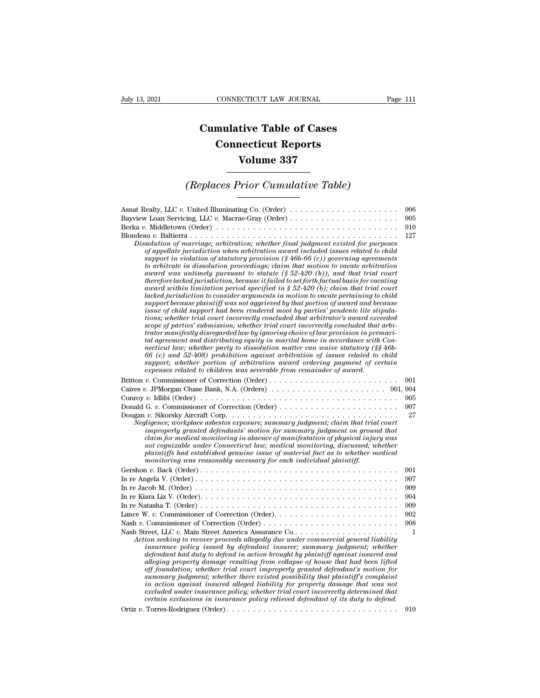## **CONNECTICUT LAW JOURNAL**<br> **Cumulative Table of Cases<br>
Connecticut Reports CONNECTICUT LAW JOURNAL**<br> **CONNECTICUT LAW JOURNAL**<br> **CONNECTICUT Reports<br>
Volume 337** ECTICUT LAW JOURNAL<br> **Volume 337**<br> **Volume 337**<br> **Volume 337**<br> **Priex Carradative Table)** *Cumulative Table of Cases<br>
Connecticut Reports<br>
Volume 337<br>
<i>(Replaces Prior Cumulative Table)*

| Volume 337                                                                                                                                                                                                                                                                                                                                                                                                                                                                                                                                                                                                                                                                                                                                                                                                                                                                                                                                                                                                                                                                                                                                                                                                                                                                                                                                                                                                                                                                                                                                                                                                                                                                                                                                               |                                                    |  |
|----------------------------------------------------------------------------------------------------------------------------------------------------------------------------------------------------------------------------------------------------------------------------------------------------------------------------------------------------------------------------------------------------------------------------------------------------------------------------------------------------------------------------------------------------------------------------------------------------------------------------------------------------------------------------------------------------------------------------------------------------------------------------------------------------------------------------------------------------------------------------------------------------------------------------------------------------------------------------------------------------------------------------------------------------------------------------------------------------------------------------------------------------------------------------------------------------------------------------------------------------------------------------------------------------------------------------------------------------------------------------------------------------------------------------------------------------------------------------------------------------------------------------------------------------------------------------------------------------------------------------------------------------------------------------------------------------------------------------------------------------------|----------------------------------------------------|--|
| (Replaces Prior Cumulative Table)                                                                                                                                                                                                                                                                                                                                                                                                                                                                                                                                                                                                                                                                                                                                                                                                                                                                                                                                                                                                                                                                                                                                                                                                                                                                                                                                                                                                                                                                                                                                                                                                                                                                                                                        |                                                    |  |
| Asnat Realty, LLC v. United Illuminating Co. (Order)<br>Berka v. Middletown (Order) $\dots \dots \dots \dots \dots \dots \dots \dots \dots \dots \dots \dots \dots \dots \dots$<br>Dissolution of marriage; arbitration; whether final judgment existed for purposes<br>of appellate jurisdiction when arbitration award included issues related to child<br>support in violation of statutory provision $(\frac{6}{9666})$ (c)) governing agreements<br>to arbitrate in dissolution proceedings; claim that motion to vacate arbitration<br>award was untimely pursuant to statute $(\S 52-420)$ , and that trial court<br>therefore lacked jurisdiction, because it failed to set forth factual basis for vacating<br>award within limitation period specified in § 52-420 (b); claim that trial court<br>lacked jurisdiction to consider arguments in motion to vacate pertaining to child<br>support because plaintiff was not aggrieved by that portion of award and because<br>issue of child support had been rendered moot by parties' pendente lite stipula-<br>tions; whether trial court incorrectly concluded that arbitrator's award exceeded<br>scope of parties' submission; whether trial court incorrectly concluded that arbi-<br>trator manifestly disregarded law by ignoring choice of law provision in premari-<br>tal agreement and distributing equity in marital home in accordance with Con-<br>necticut law; whether party to dissolution matter can waive statutory $(\S \S 46b -$<br>$66$ (c) and $52-408$ ) prohibition against arbitration of issues related to child<br>support; whether portion of arbitration award ordering payment of certain<br>expenses related to children was severable from remainder of award. | 906<br>905<br>910<br>127                           |  |
| Donald G. v. Commissioner of Correction (Order)<br>Negligence; workplace asbestos exposure; summary judgment; claim that trial court<br>improperly granted defendants' motion for summary judgment on ground that<br>claim for medical monitoring in absence of manifestation of physical injury was<br>not cognizable under Connecticut law; medical monitoring, discussed; whether<br>plaintiffs had established genuine issue of material fact as to whether medical<br>monitoring was reasonably necessary for each individual plaintiff.                                                                                                                                                                                                                                                                                                                                                                                                                                                                                                                                                                                                                                                                                                                                                                                                                                                                                                                                                                                                                                                                                                                                                                                                            | 901<br>905<br>907<br>27                            |  |
| In re Jacob M. (Order) $\dots \dots \dots \dots \dots \dots \dots \dots \dots \dots \dots \dots \dots \dots \dots \dots$<br>In re Kiara Liz V. (Order). $\dots \dots \dots \dots \dots \dots \dots \dots \dots \dots \dots \dots \dots \dots \dots \dots$<br>Action seeking to recover proceeds allegedly due under commercial general liability<br>insurance policy issued by defendant insurer; summary judgment; whether<br>defendant had duty to defend in action brought by plaintiff against insured and<br>alleging property damage resulting from collapse of house that had been lifted<br>off foundation; whether trial court improperly granted defendant's motion for<br>summary judgment; whether there existed possibility that plaintiff's complaint<br>in action against insured alleged liability for property damage that was not<br>excluded under insurance policy; whether trial court incorrectly determined that<br>certain exclusions in insurance policy relieved defendant of its duty to defend.                                                                                                                                                                                                                                                                                                                                                                                                                                                                                                                                                                                                                                                                                                                              | 901<br>907<br>909<br>904<br>909<br>902<br>908<br>1 |  |
|                                                                                                                                                                                                                                                                                                                                                                                                                                                                                                                                                                                                                                                                                                                                                                                                                                                                                                                                                                                                                                                                                                                                                                                                                                                                                                                                                                                                                                                                                                                                                                                                                                                                                                                                                          | 910                                                |  |